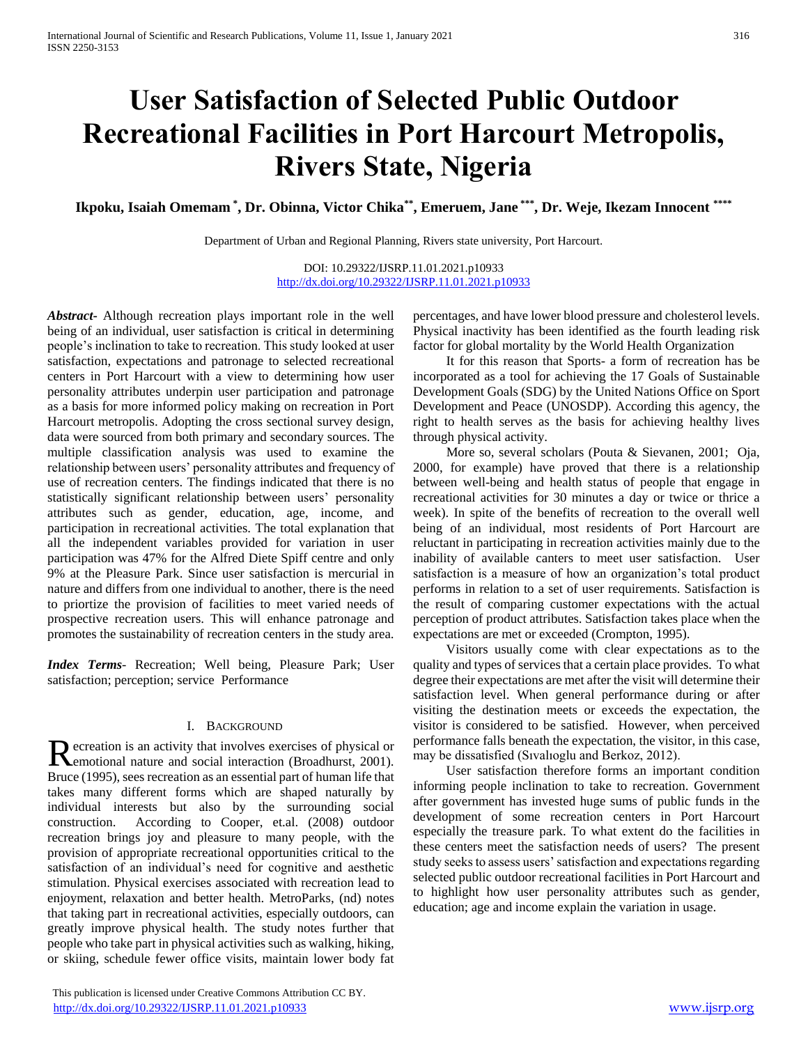# **User Satisfaction of Selected Public Outdoor Recreational Facilities in Port Harcourt Metropolis, Rivers State, Nigeria**

**Ikpoku, Isaiah Omemam \* , Dr. Obinna, Victor Chika\*\* , Emeruem, Jane \*\*\* , Dr. Weje, Ikezam Innocent \*\*\*\***

Department of Urban and Regional Planning, Rivers state university, Port Harcourt.

DOI: 10.29322/IJSRP.11.01.2021.p10933 <http://dx.doi.org/10.29322/IJSRP.11.01.2021.p10933>

*Abstract***-** Although recreation plays important role in the well being of an individual, user satisfaction is critical in determining people's inclination to take to recreation. This study looked at user satisfaction, expectations and patronage to selected recreational centers in Port Harcourt with a view to determining how user personality attributes underpin user participation and patronage as a basis for more informed policy making on recreation in Port Harcourt metropolis. Adopting the cross sectional survey design, data were sourced from both primary and secondary sources. The multiple classification analysis was used to examine the relationship between users' personality attributes and frequency of use of recreation centers. The findings indicated that there is no statistically significant relationship between users' personality attributes such as gender, education, age, income, and participation in recreational activities. The total explanation that all the independent variables provided for variation in user participation was 47% for the Alfred Diete Spiff centre and only 9% at the Pleasure Park. Since user satisfaction is mercurial in nature and differs from one individual to another, there is the need to priortize the provision of facilities to meet varied needs of prospective recreation users. This will enhance patronage and promotes the sustainability of recreation centers in the study area.

*Index Terms*- Recreation; Well being, Pleasure Park; User satisfaction; perception; service Performance

#### I. BACKGROUND

ecreation is an activity that involves exercises of physical or Recreation is an activity that involves exercises of physical or<br>
remotional nature and social interaction (Broadhurst, 2001). Bruce (1995), sees recreation as an essential part of human life that takes many different forms which are shaped naturally by individual interests but also by the surrounding social construction. According to Cooper, et.al. (2008) outdoor recreation brings joy and pleasure to many people, with the provision of appropriate recreational opportunities critical to the satisfaction of an individual's need for cognitive and aesthetic stimulation. Physical exercises associated with recreation lead to enjoyment, relaxation and better health. MetroParks, (nd) notes that taking part in recreational activities, especially outdoors, can greatly improve physical health. The study notes further that people who take part in physical activities such as walking, hiking, or skiing, schedule fewer office visits, maintain lower body fat

 This publication is licensed under Creative Commons Attribution CC BY. <http://dx.doi.org/10.29322/IJSRP.11.01.2021.p10933> [www.ijsrp.org](http://ijsrp.org/)

percentages, and have lower blood pressure and cholesterol levels. Physical inactivity has been identified as the fourth leading risk factor for global mortality by the World Health Organization

 It for this reason that Sports- a form of recreation has be incorporated as a tool for achieving the 17 Goals of Sustainable Development Goals (SDG) by the United Nations Office on Sport Development and Peace (UNOSDP). According this agency, the right to health serves as the basis for achieving healthy lives through physical activity.

 More so, several scholars (Pouta & Sievanen, 2001; Oja, 2000, for example) have proved that there is a relationship between well-being and health status of people that engage in recreational activities for 30 minutes a day or twice or thrice a week). In spite of the benefits of recreation to the overall well being of an individual, most residents of Port Harcourt are reluctant in participating in recreation activities mainly due to the inability of available canters to meet user satisfaction. User satisfaction is a measure of how an organization's total product performs in relation to a set of user requirements. Satisfaction is the result of comparing customer expectations with the actual perception of product attributes. Satisfaction takes place when the expectations are met or exceeded (Crompton, 1995).

 Visitors usually come with clear expectations as to the quality and types of services that a certain place provides. To what degree their expectations are met after the visit will determine their satisfaction level. When general performance during or after visiting the destination meets or exceeds the expectation, the visitor is considered to be satisfied. However, when perceived performance falls beneath the expectation, the visitor, in this case, may be dissatisfied (Sıvalıoglu and Berkoz, 2012).

 User satisfaction therefore forms an important condition informing people inclination to take to recreation. Government after government has invested huge sums of public funds in the development of some recreation centers in Port Harcourt especially the treasure park. To what extent do the facilities in these centers meet the satisfaction needs of users? The present study seeks to assess users' satisfaction and expectations regarding selected public outdoor recreational facilities in Port Harcourt and to highlight how user personality attributes such as gender, education; age and income explain the variation in usage.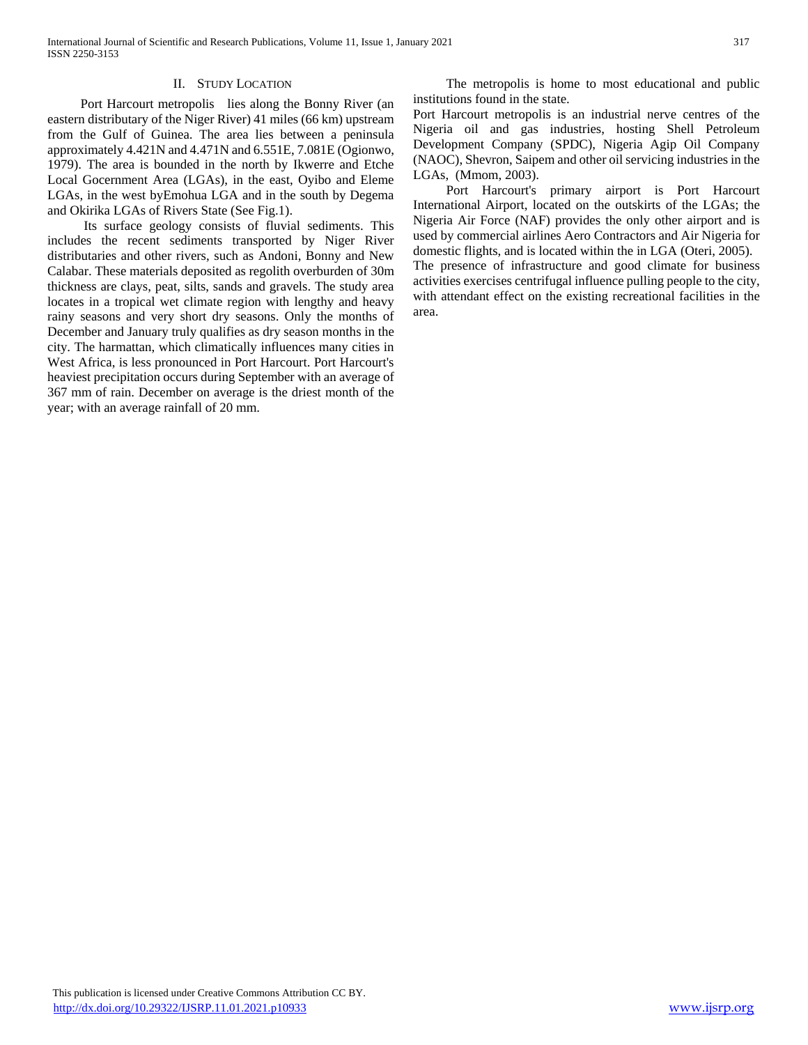#### II. STUDY LOCATION

 Port Harcourt metropolis lies along the Bonny River (an eastern distributary of the Niger River) 41 miles (66 km) upstream from the Gulf of Guinea. The area lies between a peninsula approximately 4.421N and 4.471N and 6.551E, 7.081E (Ogionwo, 1979). The area is bounded in the north by Ikwerre and Etche Local Gocernment Area (LGAs), in the east, Oyibo and Eleme LGAs, in the west byEmohua LGA and in the south by Degema and Okirika LGAs of Rivers State (See Fig.1).

 Its surface geology consists of fluvial sediments. This includes the recent sediments transported by Niger River distributaries and other rivers, such as Andoni, Bonny and New Calabar. These materials deposited as regolith overburden of 30m thickness are clays, peat, silts, sands and gravels. The study area locates in a tropical wet climate region with lengthy and heavy rainy seasons and very short dry seasons. Only the months of December and January truly qualifies as dry season months in the city. The harmattan, which climatically influences many cities in West Africa, is less pronounced in Port Harcourt. Port Harcourt's heaviest precipitation occurs during September with an average of 367 mm of rain. December on average is the driest month of the year; with an average rainfall of 20 mm.

 The metropolis is home to most educational and public institutions found in the state.

Port Harcourt metropolis is an industrial nerve centres of the Nigeria oil and gas industries, hosting Shell Petroleum Development Company (SPDC), Nigeria Agip Oil Company (NAOC), Shevron, Saipem and other oil servicing industries in the LGAs, (Mmom, 2003).

 Port Harcourt's primary airport is Port Harcourt International Airport, located on the outskirts of the LGAs; the Nigeria Air Force (NAF) provides the only other airport and is used by commercial airlines Aero Contractors and Air Nigeria for domestic flights, and is located within the in LGA (Oteri, 2005).

The presence of infrastructure and good climate for business activities exercises centrifugal influence pulling people to the city, with attendant effect on the existing recreational facilities in the area.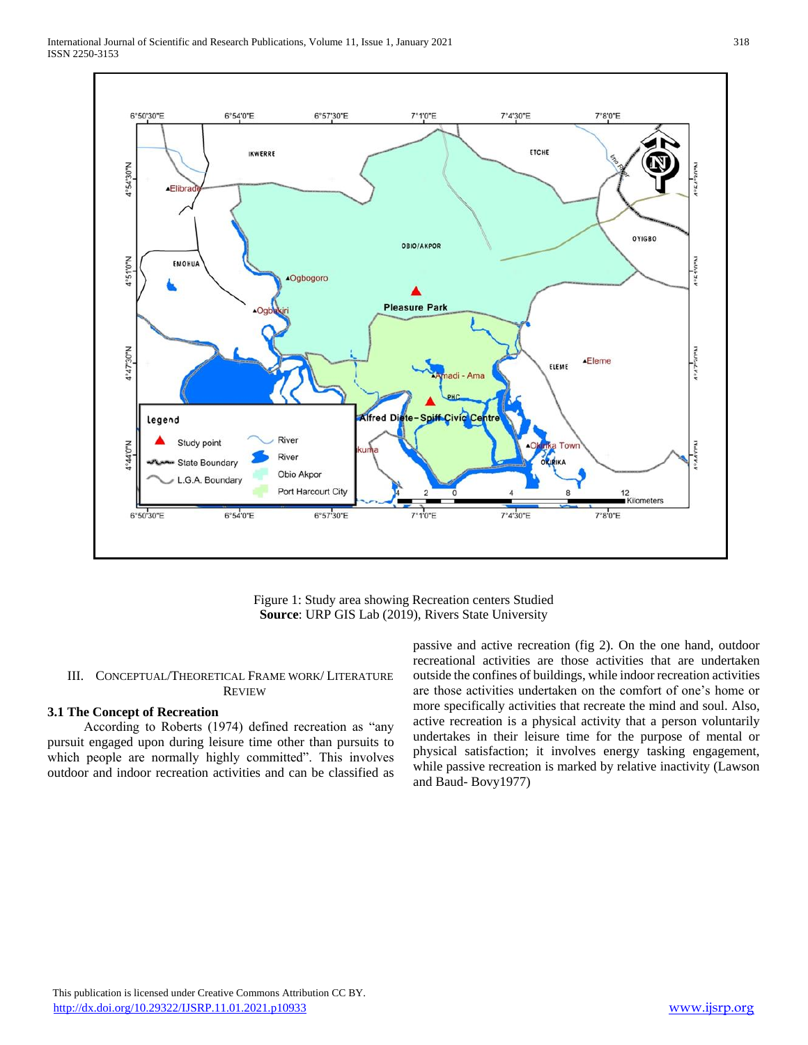

Figure 1: Study area showing Recreation centers Studied **Source**: URP GIS Lab (2019), Rivers State University

### III. CONCEPTUAL/THEORETICAL FRAME WORK/ LITERATURE REVIEW

### **3.1 The Concept of Recreation**

 According to Roberts (1974) defined recreation as "any pursuit engaged upon during leisure time other than pursuits to which people are normally highly committed". This involves outdoor and indoor recreation activities and can be classified as passive and active recreation (fig 2). On the one hand, outdoor recreational activities are those activities that are undertaken outside the confines of buildings, while indoor recreation activities are those activities undertaken on the comfort of one's home or more specifically activities that recreate the mind and soul. Also, active recreation is a physical activity that a person voluntarily undertakes in their leisure time for the purpose of mental or physical satisfaction; it involves energy tasking engagement, while passive recreation is marked by relative inactivity (Lawson and Baud- Bovy1977)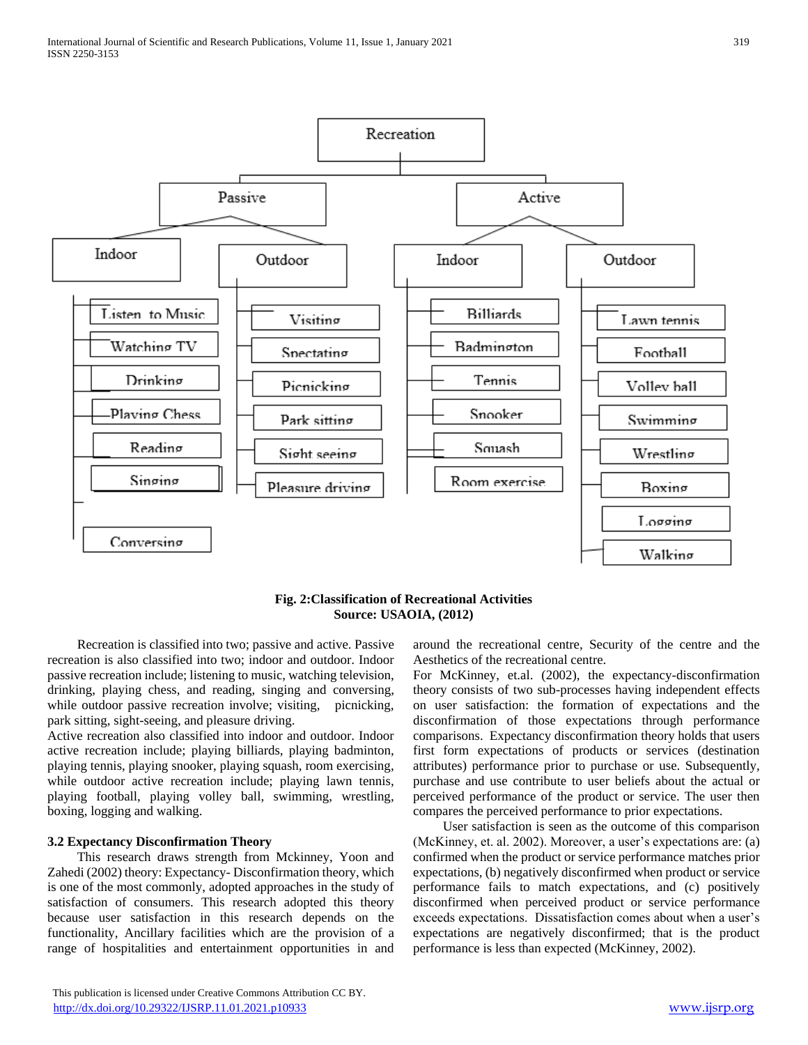

**Fig. 2:Classification of Recreational Activities Source: USAOIA, (2012)**

 Recreation is classified into two; passive and active. Passive recreation is also classified into two; indoor and outdoor. Indoor passive recreation include; listening to music, watching television, drinking, playing chess, and reading, singing and conversing, while outdoor passive recreation involve; visiting, picnicking, park sitting, sight-seeing, and pleasure driving.

Active recreation also classified into indoor and outdoor. Indoor active recreation include; playing billiards, playing badminton, playing tennis, playing snooker, playing squash, room exercising, while outdoor active recreation include; playing lawn tennis, playing football, playing volley ball, swimming, wrestling, boxing, logging and walking.

#### **3.2 Expectancy Disconfirmation Theory**

 This research draws strength from Mckinney, Yoon and Zahedi (2002) theory: Expectancy- Disconfirmation theory, which is one of the most commonly, adopted approaches in the study of satisfaction of consumers. This research adopted this theory because user satisfaction in this research depends on the functionality, Ancillary facilities which are the provision of a range of hospitalities and entertainment opportunities in and

For McKinney, et.al. (2002), the expectancy-disconfirmation theory consists of two sub-processes having independent effects

Aesthetics of the recreational centre.

on user satisfaction: the formation of expectations and the disconfirmation of those expectations through performance comparisons. Expectancy disconfirmation theory holds that users first form expectations of products or services (destination attributes) performance prior to purchase or use. Subsequently, purchase and use contribute to user beliefs about the actual or perceived performance of the product or service. The user then compares the perceived performance to prior expectations.

around the recreational centre, Security of the centre and the

 User satisfaction is seen as the outcome of this comparison (McKinney, et. al. 2002). Moreover, a user's expectations are: (a) confirmed when the product or service performance matches prior expectations, (b) negatively disconfirmed when product or service performance fails to match expectations, and (c) positively disconfirmed when perceived product or service performance exceeds expectations. Dissatisfaction comes about when a user's expectations are negatively disconfirmed; that is the product performance is less than expected (McKinney, 2002).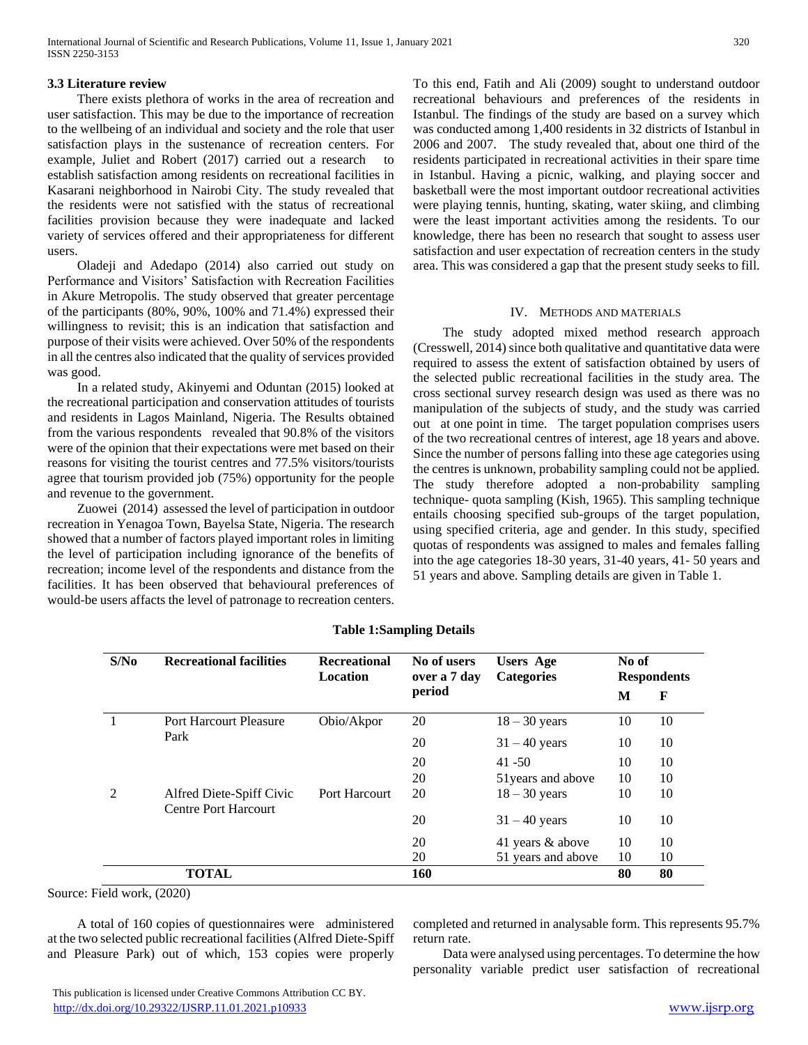## **3.3 Literature review**

 There exists plethora of works in the area of recreation and user satisfaction. This may be due to the importance of recreation to the wellbeing of an individual and society and the role that user satisfaction plays in the sustenance of recreation centers. For example, Juliet and Robert (2017) carried out a research to establish satisfaction among residents on recreational facilities in Kasarani neighborhood in Nairobi City. The study revealed that the residents were not satisfied with the status of recreational facilities provision because they were inadequate and lacked variety of services offered and their appropriateness for different users.

 Oladeji and Adedapo (2014) also carried out study on Performance and Visitors' Satisfaction with Recreation Facilities in Akure Metropolis. The study observed that greater percentage of the participants (80%, 90%, 100% and 71.4%) expressed their willingness to revisit; this is an indication that satisfaction and purpose of their visits were achieved. Over 50% of the respondents in all the centres also indicated that the quality of services provided was good.

 In a related study, Akinyemi and Oduntan (2015) looked at the recreational participation and conservation attitudes of tourists and residents in Lagos Mainland, Nigeria. The Results obtained from the various respondents revealed that 90.8% of the visitors were of the opinion that their expectations were met based on their reasons for visiting the tourist centres and 77.5% visitors/tourists agree that tourism provided job (75%) opportunity for the people and revenue to the government.

 Zuowei (2014) assessed the level of participation in outdoor recreation in Yenagoa Town, Bayelsa State, Nigeria. The research showed that a number of factors played important roles in limiting the level of participation including ignorance of the benefits of recreation; income level of the respondents and distance from the facilities. It has been observed that behavioural preferences of would-be users affacts the level of patronage to recreation centers.

To this end, Fatih and Ali (2009) sought to understand outdoor recreational behaviours and preferences of the residents in Istanbul. The findings of the study are based on a survey which was conducted among 1,400 residents in 32 districts of Istanbul in 2006 and 2007. The study revealed that, about one third of the residents participated in recreational activities in their spare time in Istanbul. Having a picnic, walking, and playing soccer and basketball were the most important outdoor recreational activities were playing tennis, hunting, skating, water skiing, and climbing were the least important activities among the residents. To our knowledge, there has been no research that sought to assess user satisfaction and user expectation of recreation centers in the study area. This was considered a gap that the present study seeks to fill.

# IV. METHODS AND MATERIALS

 The study adopted mixed method research approach (Cresswell, 2014) since both qualitative and quantitative data were required to assess the extent of satisfaction obtained by users of the selected public recreational facilities in the study area. The cross sectional survey research design was used as there was no manipulation of the subjects of study, and the study was carried out at one point in time. The target population comprises users of the two recreational centres of interest, age 18 years and above. Since the number of persons falling into these age categories using the centres is unknown, probability sampling could not be applied. The study therefore adopted a non-probability sampling technique- quota sampling (Kish, 1965). This sampling technique entails choosing specified sub-groups of the target population, using specified criteria, age and gender. In this study, specified quotas of respondents was assigned to males and females falling into the age categories 18-30 years, 31-40 years, 41- 50 years and 51 years and above. Sampling details are given in Table 1.

| S/No           | <b>Recreational facilities</b>                   | <b>Recreational</b><br><b>Location</b> | No of users<br>over a 7 day | <b>Users</b> Age<br><b>Categories</b> | No of<br><b>Respondents</b> |    |
|----------------|--------------------------------------------------|----------------------------------------|-----------------------------|---------------------------------------|-----------------------------|----|
|                |                                                  |                                        | period                      |                                       | M                           | F  |
|                | <b>Port Harcourt Pleasure</b>                    | Obio/Akpor                             | 20                          | $18 - 30$ years                       | 10                          | 10 |
| Park           |                                                  | 20                                     | $31 - 40$ years             | 10                                    | 10                          |    |
|                |                                                  |                                        | 20                          | $41 - 50$                             | 10                          | 10 |
|                |                                                  |                                        | 20                          | 51 years and above                    | 10                          | 10 |
| $\mathfrak{D}$ | Alfred Diete-Spiff Civic<br>Centre Port Harcourt | Port Harcourt                          | 20                          | $18 - 30$ years                       | 10                          | 10 |
|                |                                                  |                                        | 20                          | $31 - 40$ years                       | 10                          | 10 |
|                |                                                  |                                        | 20                          | 41 years & above                      | 10                          | 10 |
|                |                                                  |                                        | 20                          | 51 years and above                    | 10                          | 10 |
|                | <b>TOTAL</b>                                     |                                        | 160                         |                                       | 80                          | 80 |

# **Table 1:Sampling Details**

Source: Field work, (2020)

 A total of 160 copies of questionnaires were administered at the two selected public recreational facilities (Alfred Diete-Spiff and Pleasure Park) out of which, 153 copies were properly

completed and returned in analysable form. This represents 95.7% return rate.

 Data were analysed using percentages. To determine the how personality variable predict user satisfaction of recreational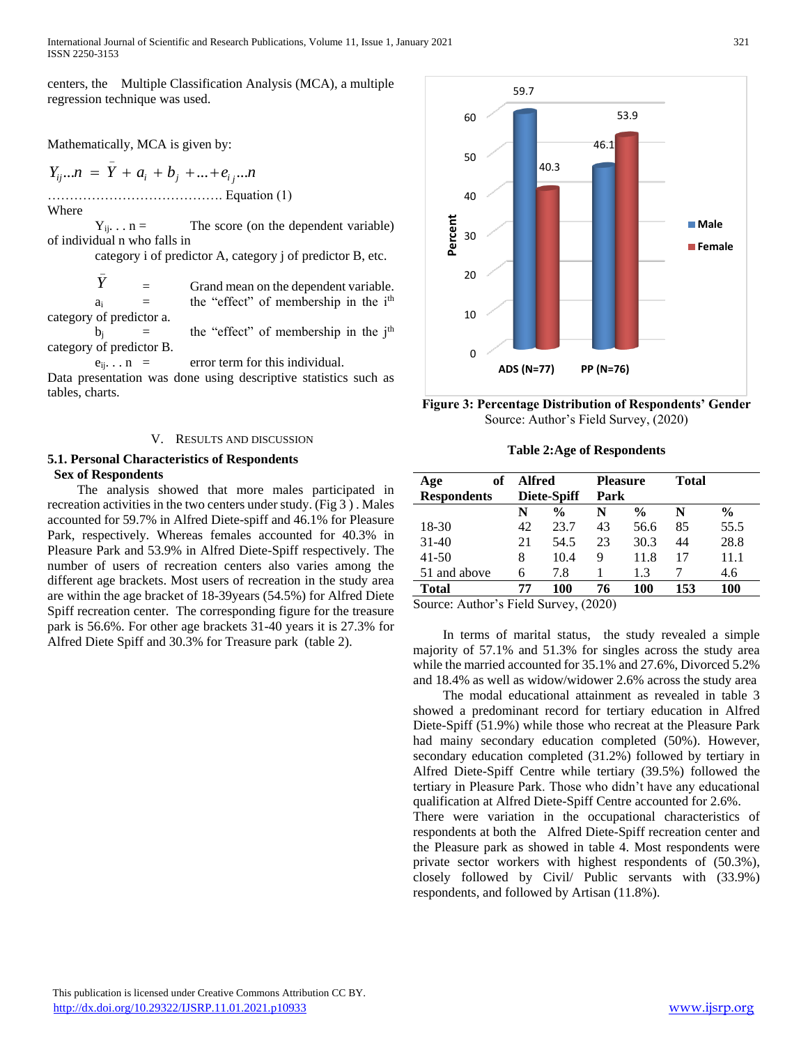International Journal of Scientific and Research Publications, Volume 11, Issue 1, January 2021 321 ISSN 2250-3153

centers, the Multiple Classification Analysis (MCA), a multiple regression technique was used.

Mathematically, MCA is given by:

 $Y_{ij}...n = Y + a_i + b_j + ... + e_{ij}...n$  $=\bar{Y}+a+b+\ldots+$ 

…………………………………. Equation (1)

Where

 $Y_{ii}$ ...  $n =$  The score (on the dependent variable) of individual n who falls in

category i of predictor A, category j of predictor B, etc.

 $\overline{Y}$  $=$  Grand mean on the dependent variable.

 $a_i$  = the "effect" of membership in the i<sup>th</sup> category of predictor a.

 $b_i$  = the "effect" of membership in the j<sup>th</sup> category of predictor B.

 $e_{ij}$ ...  $n =$  error term for this individual. Data presentation was done using descriptive statistics such as tables, charts.

#### V. RESULTS AND DISCUSSION

### **5.1. Personal Characteristics of Respondents Sex of Respondents**

 The analysis showed that more males participated in recreation activities in the two centers under study. (Fig 3 ) . Males accounted for 59.7% in Alfred Diete-spiff and 46.1% for Pleasure Park, respectively. Whereas females accounted for 40.3% in Pleasure Park and 53.9% in Alfred Diete-Spiff respectively. The number of users of recreation centers also varies among the different age brackets. Most users of recreation in the study area are within the age bracket of 18-39years (54.5%) for Alfred Diete Spiff recreation center. The corresponding figure for the treasure park is 56.6%. For other age brackets 31-40 years it is 27.3% for Alfred Diete Spiff and 30.3% for Treasure park (table 2).



**Figure 3: Percentage Distribution of Respondents' Gender** Source: Author's Field Survey, (2020)

**Table 2:Age of Respondents**

| of<br>Age                                   | Alfred                                          |               |         | <b>Pleasure</b> | <b>Total</b> |               |
|---------------------------------------------|-------------------------------------------------|---------------|---------|-----------------|--------------|---------------|
| <b>Respondents</b>                          |                                                 | Diete-Spiff   |         | Park            |              |               |
|                                             | N                                               | $\frac{0}{0}$ | N       | $\frac{0}{0}$   | N            | $\frac{0}{0}$ |
| 18-30                                       | 42                                              | 23.7          | 43      | 56.6            | 85           | 55.5          |
| $31-40$                                     | 21                                              | 54.5          | 23      | 30.3            | 44           | 28.8          |
| $41 - 50$                                   | 8                                               | 10.4          | 9       | 11.8            | 17           | 11.1          |
| 51 and above                                | 6                                               | 7.8           |         | 1.3             |              | 4.6           |
| <b>Total</b>                                | 77                                              | 100           | 76      | 100             | 153          | 100           |
| $\cdot$ 1<br>$\sim$<br>$\ddot{\phantom{1}}$ | $\cdot$ $\cdot$ $\cdot$ $\cdot$ $\cdot$ $\cdot$ |               | (0.000) |                 |              |               |

Source: Author's Field Survey, (2020)

 In terms of marital status, the study revealed a simple majority of 57.1% and 51.3% for singles across the study area while the married accounted for 35.1% and 27.6%, Divorced 5.2% and 18.4% as well as widow/widower 2.6% across the study area

 The modal educational attainment as revealed in table 3 showed a predominant record for tertiary education in Alfred Diete-Spiff (51.9%) while those who recreat at the Pleasure Park had mainy secondary education completed (50%). However, secondary education completed (31.2%) followed by tertiary in Alfred Diete-Spiff Centre while tertiary (39.5%) followed the tertiary in Pleasure Park. Those who didn't have any educational qualification at Alfred Diete-Spiff Centre accounted for 2.6%.

There were variation in the occupational characteristics of respondents at both the Alfred Diete-Spiff recreation center and the Pleasure park as showed in table 4. Most respondents were private sector workers with highest respondents of (50.3%), closely followed by Civil/ Public servants with (33.9%) respondents, and followed by Artisan (11.8%).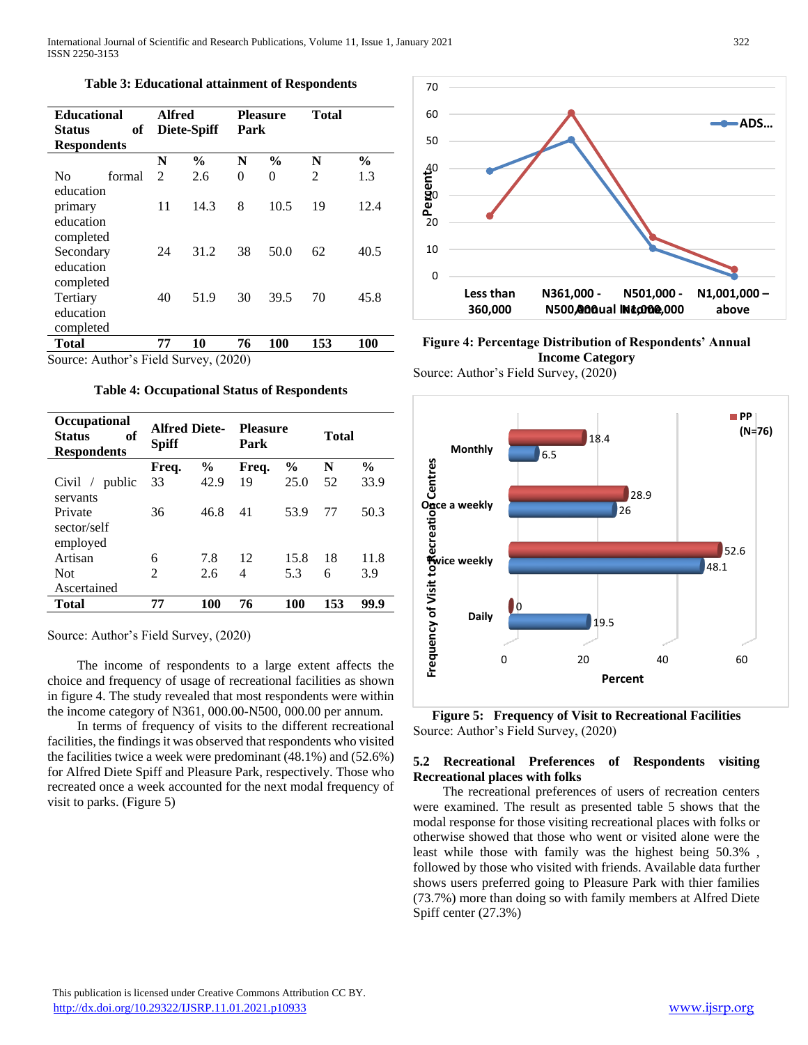**Table 3: Educational attainment of Respondents**

| <b>Educational</b>  | <b>Alfred</b> |               | <b>Pleasure</b> |               | <b>Total</b> |               |
|---------------------|---------------|---------------|-----------------|---------------|--------------|---------------|
| of<br><b>Status</b> |               | Diete-Spiff   | Park            |               |              |               |
| <b>Respondents</b>  |               |               |                 |               |              |               |
|                     | N             | $\frac{0}{0}$ | N               | $\frac{0}{0}$ | N            | $\frac{0}{0}$ |
| No<br>formal        | 2             | 2.6           | 0               | 0             | 2            | 1.3           |
| education           |               |               |                 |               |              |               |
| primary             | 11            | 14.3          | 8               | 10.5          | 19           | 12.4          |
| education           |               |               |                 |               |              |               |
| completed           |               |               |                 |               |              |               |
| Secondary           | 24            | 31.2          | 38              | 50.0          | 62           | 40.5          |
| education           |               |               |                 |               |              |               |
| completed           |               |               |                 |               |              |               |
| Tertiary            | 40            | 51.9          | 30              | 39.5          | 70           | 45.8          |
| education           |               |               |                 |               |              |               |
| completed           |               |               |                 |               |              |               |
| Total               | 77            | 10            | 76              | 100           | 153          | 100           |

Source: Author's Field Survey, (2020)

**Table 4: Occupational Status of Respondents**

| Occupational<br>of<br><b>Status</b><br><b>Respondents</b> | <b>Alfred Diete-</b><br><b>Spiff</b> |               | <b>Pleasure</b><br>Park |               | <b>Total</b> |               |
|-----------------------------------------------------------|--------------------------------------|---------------|-------------------------|---------------|--------------|---------------|
|                                                           | Freq.                                | $\frac{6}{9}$ | Freq.                   | $\frac{0}{0}$ | N            | $\frac{0}{0}$ |
| Civil<br>public<br>servants                               | 33                                   | 42.9          | 19                      | 25.0          | 52           | 33.9          |
| Private<br>sector/self<br>employed                        | 36                                   | 46.8          | 41                      | 53.9          | 77           | 50.3          |
| Artisan                                                   | 6                                    | 7.8           | 12                      | 15.8          | 18           | 11.8          |
| <b>Not</b>                                                | $\mathfrak{D}$                       | 2.6           | 4                       | 5.3           | 6            | 3.9           |
| Ascertained                                               |                                      |               |                         |               |              |               |
| Total                                                     | 77                                   | 100           | 76                      | 100           | 153          | 99.9          |

Source: Author's Field Survey, (2020)

 The income of respondents to a large extent affects the choice and frequency of usage of recreational facilities as shown in figure 4. The study revealed that most respondents were within the income category of N361, 000.00-N500, 000.00 per annum.

 In terms of frequency of visits to the different recreational facilities, the findings it was observed that respondents who visited the facilities twice a week were predominant (48.1%) and (52.6%) for Alfred Diete Spiff and Pleasure Park, respectively. Those who recreated once a week accounted for the next modal frequency of visit to parks. (Figure 5)



**Figure 4: Percentage Distribution of Respondents' Annual Income Category** Source: Author's Field Survey, (2020)



**Figure 5: Frequency of Visit to Recreational Facilities** Source: Author's Field Survey, (2020)

### **5.2 Recreational Preferences of Respondents visiting Recreational places with folks**

 The recreational preferences of users of recreation centers were examined. The result as presented table 5 shows that the modal response for those visiting recreational places with folks or otherwise showed that those who went or visited alone were the least while those with family was the highest being 50.3% , followed by those who visited with friends. Available data further shows users preferred going to Pleasure Park with thier families (73.7%) more than doing so with family members at Alfred Diete Spiff center (27.3%)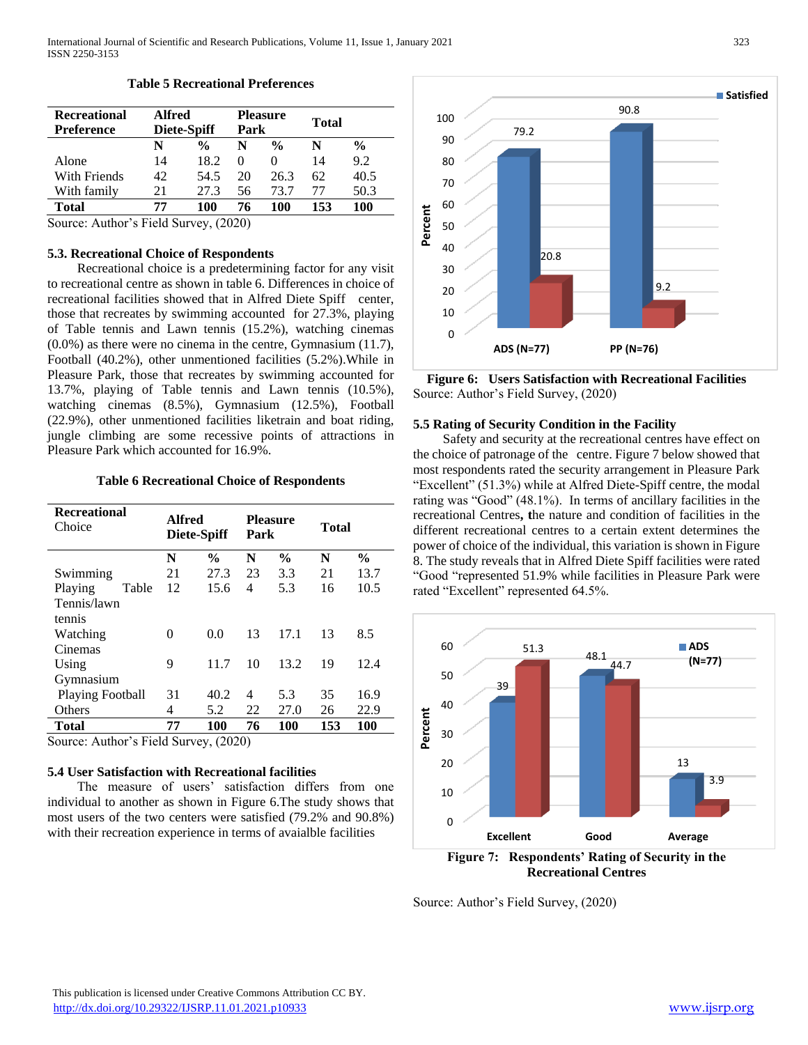#### **Table 5 Recreational Preferences**

| <b>Recreational</b><br><b>Preference</b> | Alfred<br>Diete-Spiff |               | <b>Pleasure</b><br>Park |               | Total |               |
|------------------------------------------|-----------------------|---------------|-------------------------|---------------|-------|---------------|
|                                          | N                     | $\frac{0}{0}$ | N                       | $\frac{0}{0}$ | N     | $\frac{6}{9}$ |
| Alone                                    | 14                    | 18.2          | $\mathbf{0}$            |               | 14    | 9.2           |
| With Friends                             | 42                    | 54.5          | 20                      | 26.3          | 62    | 40.5          |
| With family                              | 21                    | 27.3          | 56                      | 73.7          | 77    | 50.3          |
| Total                                    | 77                    | 100           | 76                      | 100           | 153   | 100           |

Source: Author's Field Survey, (2020)

### **5.3. Recreational Choice of Respondents**

 Recreational choice is a predetermining factor for any visit to recreational centre as shown in table 6. Differences in choice of recreational facilities showed that in Alfred Diete Spiff center, those that recreates by swimming accounted for 27.3%, playing of Table tennis and Lawn tennis (15.2%), watching cinemas (0.0%) as there were no cinema in the centre, Gymnasium (11.7), Football (40.2%), other unmentioned facilities (5.2%).While in Pleasure Park, those that recreates by swimming accounted for 13.7%, playing of Table tennis and Lawn tennis (10.5%), watching cinemas (8.5%), Gymnasium (12.5%), Football (22.9%), other unmentioned facilities liketrain and boat riding, jungle climbing are some recessive points of attractions in Pleasure Park which accounted for 16.9%.

**Table 6 Recreational Choice of Respondents**

| <b>Recreational</b><br>Choice | <b>Alfred</b> | Diete-Spiff   | Park | <b>Pleasure</b> | <b>Total</b> |               |
|-------------------------------|---------------|---------------|------|-----------------|--------------|---------------|
|                               | N             | $\frac{6}{9}$ | N    | $\frac{6}{9}$   | N            | $\frac{6}{9}$ |
| Swimming                      | 21            | 27.3          | 23   | 3.3             | 21           | 13.7          |
| Playing<br>Table              | 12            | 15.6          | 4    | 5.3             | 16           | 10.5          |
| Tennis/lawn                   |               |               |      |                 |              |               |
| tennis                        |               |               |      |                 |              |               |
| Watching                      | 0             | 0.0           | 13   | 17.1            | 13           | 8.5           |
| Cinemas                       |               |               |      |                 |              |               |
| Using                         | 9             | 11.7          | 10   | 13.2            | 19           | 12.4          |
| Gymnasium                     |               |               |      |                 |              |               |
| Playing Football              | 31            | 40.2          | 4    | 5.3             | 35           | 16.9          |
| Others                        | 4             | 5.2           | 22   | 27.0            | 26           | 22.9          |
| <b>Total</b><br>$\sim$        | 77            | 100           | 76   | 100             | 153          | <b>100</b>    |

Source: Author's Field Survey, (2020)

# **5.4 User Satisfaction with Recreational facilities**

 The measure of users' satisfaction differs from one individual to another as shown in Figure 6.The study shows that most users of the two centers were satisfied (79.2% and 90.8%) with their recreation experience in terms of avaialble facilities



**Figure 6: Users Satisfaction with Recreational Facilities** Source: Author's Field Survey, (2020)

### **5.5 Rating of Security Condition in the Facility**

 Safety and security at the recreational centres have effect on the choice of patronage of the centre. Figure 7 below showed that most respondents rated the security arrangement in Pleasure Park "Excellent" (51.3%) while at Alfred Diete-Spiff centre, the modal rating was "Good" (48.1%). In terms of ancillary facilities in the recreational Centres**, t**he nature and condition of facilities in the different recreational centres to a certain extent determines the power of choice of the individual, this variation is shown in Figure 8. The study reveals that in Alfred Diete Spiff facilities were rated "Good "represented 51.9% while facilities in Pleasure Park were rated "Excellent" represented 64.5%.



**Figure 7: Respondents' Rating of Security in the Recreational Centres**

Source: Author's Field Survey, (2020)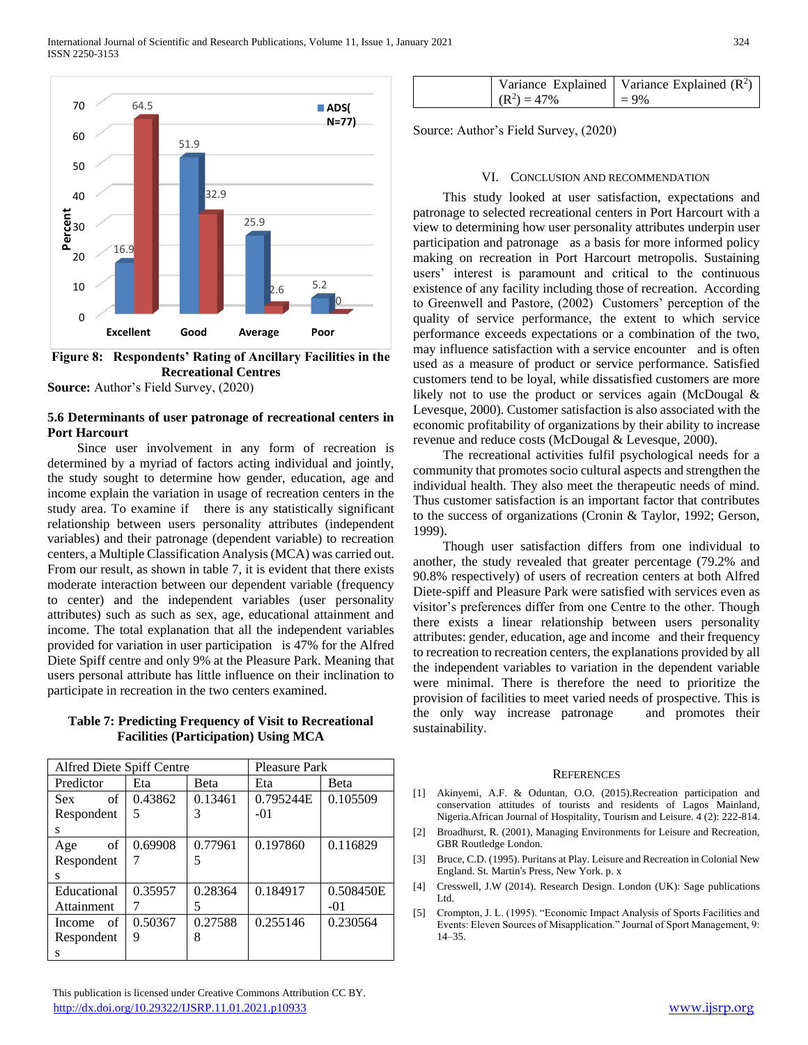

**Figure 8: Respondents' Rating of Ancillary Facilities in the Recreational Centres**

**Source:** Author's Field Survey, (2020)

# **5.6 Determinants of user patronage of recreational centers in Port Harcourt**

 Since user involvement in any form of recreation is determined by a myriad of factors acting individual and jointly, the study sought to determine how gender, education, age and income explain the variation in usage of recreation centers in the study area. To examine if there is any statistically significant relationship between users personality attributes (independent variables) and their patronage (dependent variable) to recreation centers, a Multiple Classification Analysis (MCA) was carried out. From our result, as shown in table 7, it is evident that there exists moderate interaction between our dependent variable (frequency to center) and the independent variables (user personality attributes) such as such as sex, age, educational attainment and income. The total explanation that all the independent variables provided for variation in user participation is 47% for the Alfred Diete Spiff centre and only 9% at the Pleasure Park. Meaning that users personal attribute has little influence on their inclination to participate in recreation in the two centers examined.

| Alfred Diete Spiff Centre |         | <b>Pleasure Park</b> |           |              |
|---------------------------|---------|----------------------|-----------|--------------|
| Predictor                 | Eta     | <b>B</b> eta         | Eta       | <b>B</b> eta |
| of<br><b>Sex</b>          | 0.43862 | 0.13461              | 0.795244E | 0.105509     |
| Respondent                | 5       | 3                    | $-01$     |              |
| S                         |         |                      |           |              |
| of<br>Age                 | 0.69908 | 0.77961              | 0.197860  | 0.116829     |
| Respondent                |         | 5                    |           |              |
| s                         |         |                      |           |              |
| Educational               | 0.35957 | 0.28364              | 0.184917  | 0.508450E    |
| Attainment                |         |                      |           | -01          |
| of<br>Income              | 0.50367 | 0.27588              | 0.255146  | 0.230564     |
| Respondent                | 9       | 8                    |           |              |
| S                         |         |                      |           |              |

**Table 7: Predicting Frequency of Visit to Recreational Facilities (Participation) Using MCA**

| This publication is licensed under Creative Commons Attribution CC BY. |
|------------------------------------------------------------------------|
| http://dx.doi.org/10.29322/IJSRP.11.01.2021.p10933                     |

|                | Variance Explained   Variance Explained $(R^2)$ |
|----------------|-------------------------------------------------|
| $(R^2) = 47\%$ | $= 9\%$                                         |

Source: Author's Field Survey, (2020)

#### VI. CONCLUSION AND RECOMMENDATION

 This study looked at user satisfaction, expectations and patronage to selected recreational centers in Port Harcourt with a view to determining how user personality attributes underpin user participation and patronage as a basis for more informed policy making on recreation in Port Harcourt metropolis. Sustaining users' interest is paramount and critical to the continuous existence of any facility including those of recreation. According to Greenwell and Pastore, (2002) Customers' perception of the quality of service performance, the extent to which service performance exceeds expectations or a combination of the two, may influence satisfaction with a service encounter and is often used as a measure of product or service performance. Satisfied customers tend to be loyal, while dissatisfied customers are more likely not to use the product or services again (McDougal & Levesque, 2000). Customer satisfaction is also associated with the economic profitability of organizations by their ability to increase revenue and reduce costs (McDougal & Levesque, 2000).

 The recreational activities fulfil psychological needs for a community that promotes socio cultural aspects and strengthen the individual health. They also meet the therapeutic needs of mind. Thus customer satisfaction is an important factor that contributes to the success of organizations (Cronin & Taylor, 1992; Gerson, 1999).

 Though user satisfaction differs from one individual to another, the study revealed that greater percentage (79.2% and 90.8% respectively) of users of recreation centers at both Alfred Diete-spiff and Pleasure Park were satisfied with services even as visitor's preferences differ from one Centre to the other. Though there exists a linear relationship between users personality attributes: gender, education, age and income and their frequency to recreation to recreation centers, the explanations provided by all the independent variables to variation in the dependent variable were minimal. There is therefore the need to prioritize the provision of facilities to meet varied needs of prospective. This is the only way increase patronage and promotes their sustainability.

#### **REFERENCES**

- [1] Akinyemi, A.F. & Oduntan, O.O. (2015).Recreation participation and conservation attitudes of tourists and residents of Lagos Mainland, Nigeria.African Journal of Hospitality, Tourism and Leisure. 4 (2): 222-814.
- [2] Broadhurst, R. (2001), Managing Environments for Leisure and Recreation, GBR Routledge London.
- [3] Bruce, C.D. (1995). Puritans at Play. Leisure and Recreation in Colonial New England. St. Martin's Press, New York. p. x
- [4] Cresswell, J.W (2014). Research Design. London (UK): Sage publications Ltd.
- [5] Crompton, J. L. (1995). "Economic Impact Analysis of Sports Facilities and Events: Eleven Sources of Misapplication." Journal of Sport Management, 9: 14–35.